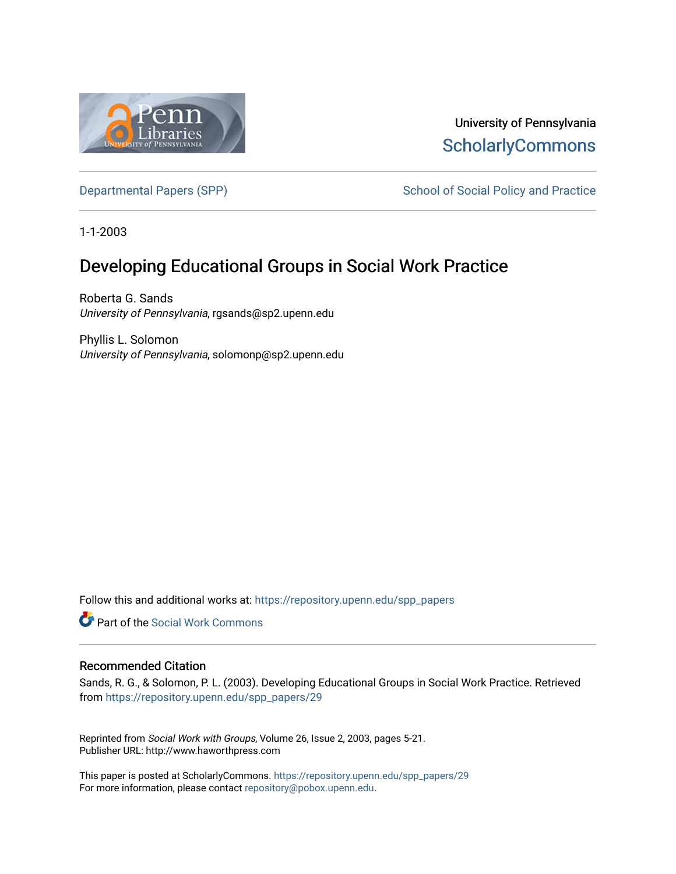

University of Pennsylvania **ScholarlyCommons** 

[Departmental Papers \(SPP\)](https://repository.upenn.edu/spp_papers) School of Social Policy and Practice

1-1-2003

# Developing Educational Groups in Social Work Practice

Roberta G. Sands University of Pennsylvania, rgsands@sp2.upenn.edu

Phyllis L. Solomon University of Pennsylvania, solomonp@sp2.upenn.edu

Follow this and additional works at: [https://repository.upenn.edu/spp\\_papers](https://repository.upenn.edu/spp_papers?utm_source=repository.upenn.edu%2Fspp_papers%2F29&utm_medium=PDF&utm_campaign=PDFCoverPages) 

Part of the [Social Work Commons](http://network.bepress.com/hgg/discipline/713?utm_source=repository.upenn.edu%2Fspp_papers%2F29&utm_medium=PDF&utm_campaign=PDFCoverPages)

### Recommended Citation

Sands, R. G., & Solomon, P. L. (2003). Developing Educational Groups in Social Work Practice. Retrieved from [https://repository.upenn.edu/spp\\_papers/29](https://repository.upenn.edu/spp_papers/29?utm_source=repository.upenn.edu%2Fspp_papers%2F29&utm_medium=PDF&utm_campaign=PDFCoverPages)

Reprinted from Social Work with Groups, Volume 26, Issue 2, 2003, pages 5-21. Publisher URL: http://www.haworthpress.com

This paper is posted at ScholarlyCommons. [https://repository.upenn.edu/spp\\_papers/29](https://repository.upenn.edu/spp_papers/29)  For more information, please contact [repository@pobox.upenn.edu.](mailto:repository@pobox.upenn.edu)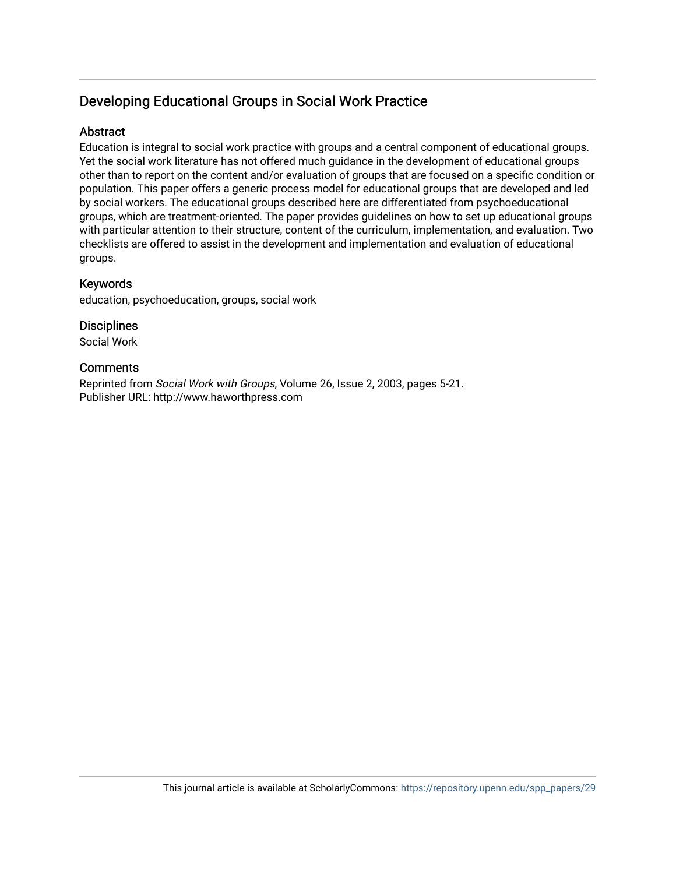## Developing Educational Groups in Social Work Practice

### **Abstract**

Education is integral to social work practice with groups and a central component of educational groups. Yet the social work literature has not offered much guidance in the development of educational groups other than to report on the content and/or evaluation of groups that are focused on a specific condition or population. This paper offers a generic process model for educational groups that are developed and led by social workers. The educational groups described here are differentiated from psychoeducational groups, which are treatment-oriented. The paper provides guidelines on how to set up educational groups with particular attention to their structure, content of the curriculum, implementation, and evaluation. Two checklists are offered to assist in the development and implementation and evaluation of educational groups.

## Keywords

education, psychoeducation, groups, social work

**Disciplines** Social Work

## **Comments**

Reprinted from Social Work with Groups, Volume 26, Issue 2, 2003, pages 5-21. Publisher URL: http://www.haworthpress.com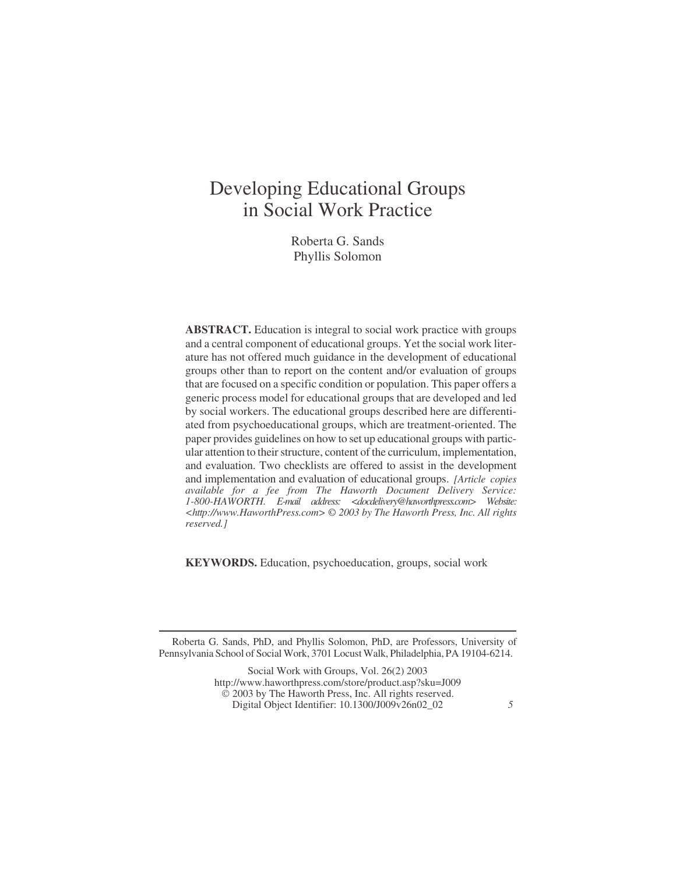## Developing Educational Groups in Social Work Practice

Roberta G. Sands Phyllis Solomon

**ABSTRACT.** Education is integral to social work practice with groups and a central component of educational groups. Yet the social work literature has not offered much guidance in the development of educational groups other than to report on the content and/or evaluation of groups that are focused on a specific condition or population. This paper offers a generic process model for educational groups that are developed and led by social workers. The educational groups described here are differentiated from psychoeducational groups, which are treatment-oriented. The paper provides guidelines on how to set up educational groups with particular attention to their structure, content of the curriculum, implementation, and evaluation. Two checklists are offered to assist in the development and implementation and evaluation of educational groups. *[Article copies available for a fee from The Haworth Document Delivery Service: 1-800-HAWORTH. E-mail address: <docdelivery@haworthpress.com> Website: [<http://www.HaworthPress.com>](http://www.HaworthPress.com) © 2003 by The Haworth Press, Inc. All rights reserved.]*

**KEYWORDS.** Education, psychoeducation, groups, social work

Roberta G. Sands, PhD, and Phyllis Solomon, PhD, are Professors, University of Pennsylvania School of Social Work, 3701 Locust Walk, Philadelphia, PA 19104-6214.

> Social Work with Groups, Vol. 26(2) 2003 <http://www.haworthpress.com/store/product.asp?sku=J009>  $\odot$  2003 by The Haworth Press, Inc. All rights reserved. Digital Object Identifier: 10.1300/J009v26n02\_02 *5*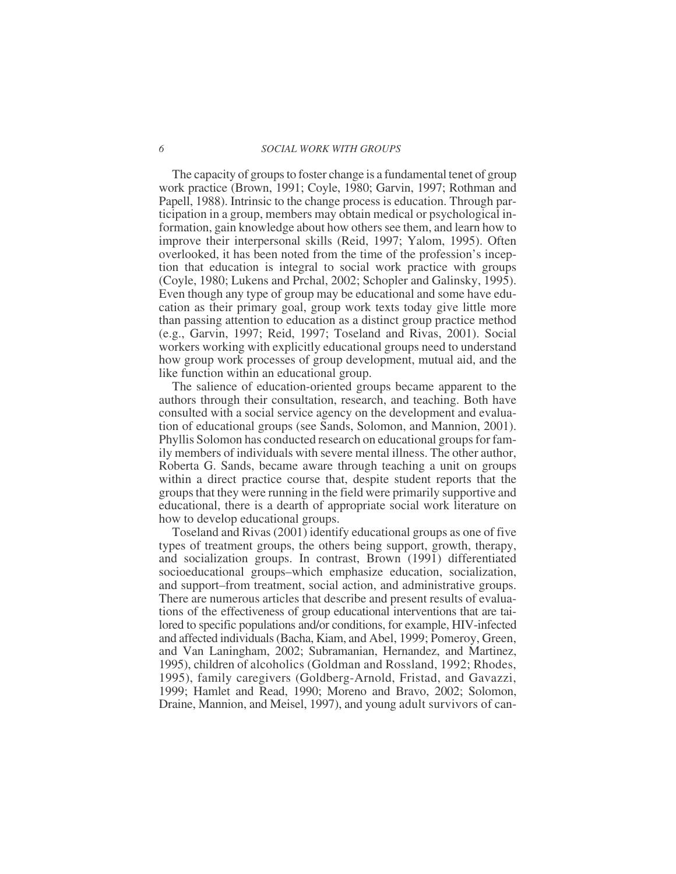#### *6 SOCIAL WORK WITH GROUPS*

The capacity of groups to foster change is a fundamental tenet of group work practice (Brown, 1991; Coyle, 1980; Garvin, 1997; Rothman and Papell, 1988). Intrinsic to the change process is education. Through participation in a group, members may obtain medical or psychological information, gain knowledge about how others see them, and learn how to improve their interpersonal skills (Reid, 1997; Yalom, 1995). Often overlooked, it has been noted from the time of the profession's inception that education is integral to social work practice with groups (Coyle, 1980; Lukens and Prchal, 2002; Schopler and Galinsky, 1995). Even though any type of group may be educational and some have education as their primary goal, group work texts today give little more than passing attention to education as a distinct group practice method (e.g., Garvin, 1997; Reid, 1997; Toseland and Rivas, 2001). Social workers working with explicitly educational groups need to understand how group work processes of group development, mutual aid, and the like function within an educational group.

The salience of education-oriented groups became apparent to the authors through their consultation, research, and teaching. Both have consulted with a social service agency on the development and evaluation of educational groups (see Sands, Solomon, and Mannion, 2001). Phyllis Solomon has conducted research on educational groups for family members of individuals with severe mental illness. The other author, Roberta G. Sands, became aware through teaching a unit on groups within a direct practice course that, despite student reports that the groups that they were running in the field were primarily supportive and educational, there is a dearth of appropriate social work literature on how to develop educational groups.

Toseland and Rivas (2001) identify educational groups as one of five types of treatment groups, the others being support, growth, therapy, and socialization groups. In contrast, Brown (1991) differentiated socioeducational groups–which emphasize education, socialization, and support–from treatment, social action, and administrative groups. There are numerous articles that describe and present results of evaluations of the effectiveness of group educational interventions that are tailored to specific populations and/or conditions, for example, HIV-infected and affected individuals (Bacha, Kiam, and Abel, 1999; Pomeroy, Green, and Van Laningham, 2002; Subramanian, Hernandez, and Martinez, 1995), children of alcoholics (Goldman and Rossland, 1992; Rhodes, 1995), family caregivers (Goldberg-Arnold, Fristad, and Gavazzi, 1999; Hamlet and Read, 1990; Moreno and Bravo, 2002; Solomon, Draine, Mannion, and Meisel, 1997), and young adult survivors of can-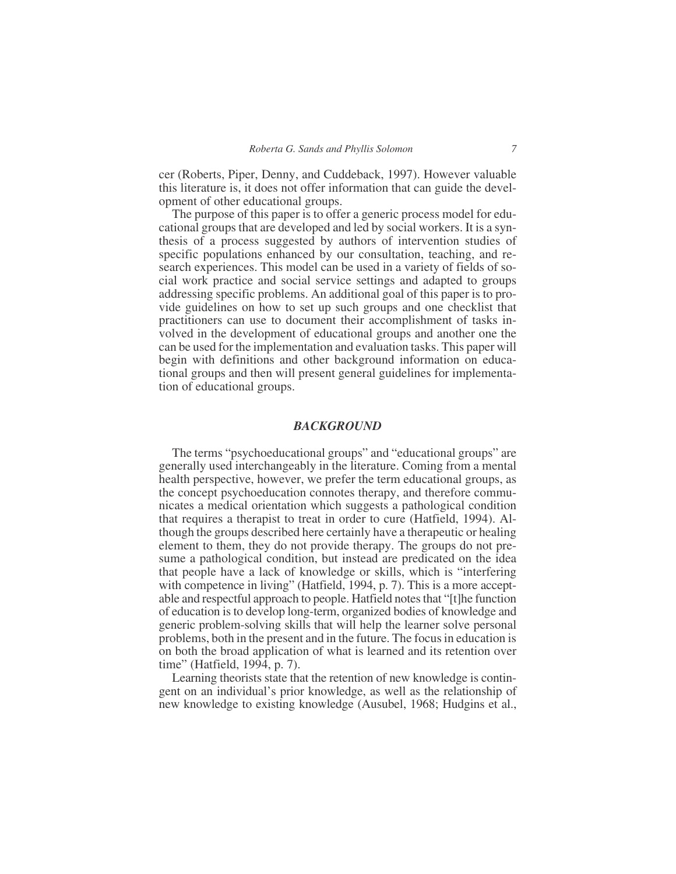cer (Roberts, Piper, Denny, and Cuddeback, 1997). However valuable this literature is, it does not offer information that can guide the development of other educational groups.

The purpose of this paper is to offer a generic process model for educational groups that are developed and led by social workers. It is a synthesis of a process suggested by authors of intervention studies of specific populations enhanced by our consultation, teaching, and research experiences. This model can be used in a variety of fields of social work practice and social service settings and adapted to groups addressing specific problems. An additional goal of this paper is to provide guidelines on how to set up such groups and one checklist that practitioners can use to document their accomplishment of tasks involved in the development of educational groups and another one the can be used for the implementation and evaluation tasks. This paper will begin with definitions and other background information on educational groups and then will present general guidelines for implementation of educational groups.

#### *BACKGROUND*

The terms "psychoeducational groups" and "educational groups" are generally used interchangeably in the literature. Coming from a mental health perspective, however, we prefer the term educational groups, as the concept psychoeducation connotes therapy, and therefore communicates a medical orientation which suggests a pathological condition that requires a therapist to treat in order to cure (Hatfield, 1994). Although the groups described here certainly have a therapeutic or healing element to them, they do not provide therapy. The groups do not presume a pathological condition, but instead are predicated on the idea that people have a lack of knowledge or skills, which is "interfering with competence in living" (Hatfield, 1994, p. 7). This is a more acceptable and respectful approach to people. Hatfield notes that "[t]he function of education is to develop long-term, organized bodies of knowledge and generic problem-solving skills that will help the learner solve personal problems, both in the present and in the future. The focus in education is on both the broad application of what is learned and its retention over time" (Hatfield, 1994, p. 7).

Learning theorists state that the retention of new knowledge is contingent on an individual's prior knowledge, as well as the relationship of new knowledge to existing knowledge (Ausubel, 1968; Hudgins et al.,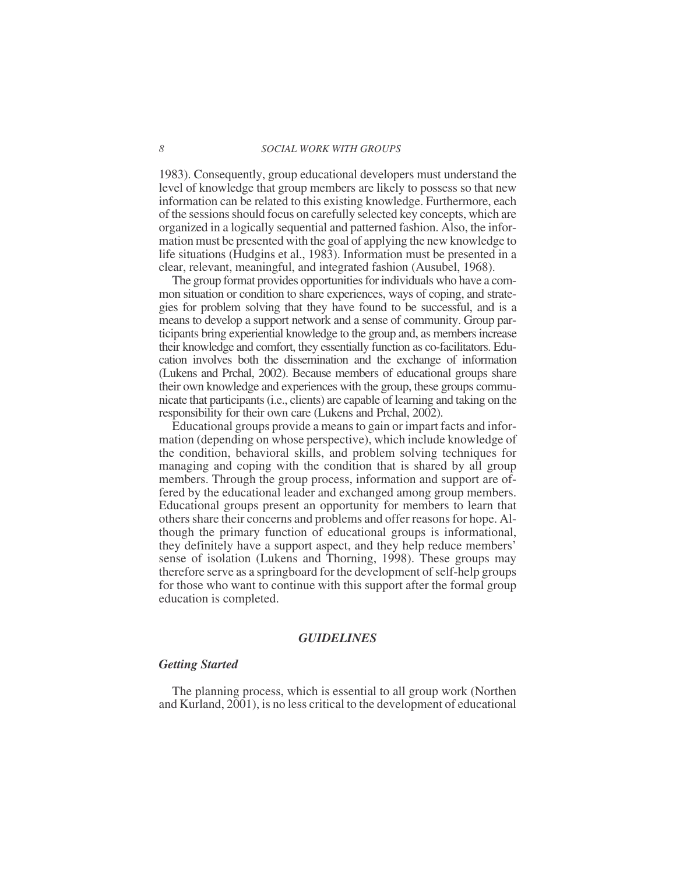1983). Consequently, group educational developers must understand the level of knowledge that group members are likely to possess so that new information can be related to this existing knowledge. Furthermore, each of the sessions should focus on carefully selected key concepts, which are organized in a logically sequential and patterned fashion. Also, the information must be presented with the goal of applying the new knowledge to life situations (Hudgins et al., 1983). Information must be presented in a clear, relevant, meaningful, and integrated fashion (Ausubel, 1968).

The group format provides opportunities for individuals who have a common situation or condition to share experiences, ways of coping, and strategies for problem solving that they have found to be successful, and is a means to develop a support network and a sense of community. Group participants bring experiential knowledge to the group and, as members increase their knowledge and comfort, they essentially function as co-facilitators. Education involves both the dissemination and the exchange of information (Lukens and Prchal, 2002). Because members of educational groups share their own knowledge and experiences with the group, these groups communicate that participants (i.e., clients) are capable of learning and taking on the responsibility for their own care (Lukens and Prchal, 2002).

Educational groups provide a means to gain or impart facts and information (depending on whose perspective), which include knowledge of the condition, behavioral skills, and problem solving techniques for managing and coping with the condition that is shared by all group members. Through the group process, information and support are offered by the educational leader and exchanged among group members. Educational groups present an opportunity for members to learn that others share their concerns and problems and offer reasons for hope. Although the primary function of educational groups is informational, they definitely have a support aspect, and they help reduce members' sense of isolation (Lukens and Thorning, 1998). These groups may therefore serve as a springboard for the development of self-help groups for those who want to continue with this support after the formal group education is completed.

#### *GUIDELINES*

#### *Getting Started*

The planning process, which is essential to all group work (Northen and Kurland, 2001), is no less critical to the development of educational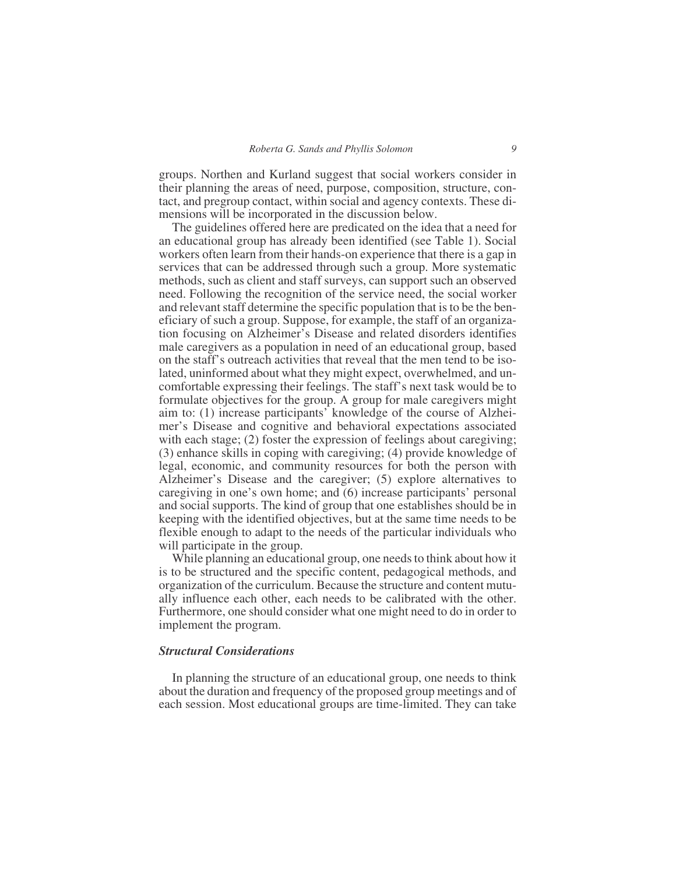groups. Northen and Kurland suggest that social workers consider in their planning the areas of need, purpose, composition, structure, contact, and pregroup contact, within social and agency contexts. These dimensions will be incorporated in the discussion below.

The guidelines offered here are predicated on the idea that a need for an educational group has already been identified (see Table 1). Social workers often learn from their hands-on experience that there is a gap in services that can be addressed through such a group. More systematic methods, such as client and staff surveys, can support such an observed need. Following the recognition of the service need, the social worker and relevant staff determine the specific population that is to be the beneficiary of such a group. Suppose, for example, the staff of an organization focusing on Alzheimer's Disease and related disorders identifies male caregivers as a population in need of an educational group, based on the staff's outreach activities that reveal that the men tend to be isolated, uninformed about what they might expect, overwhelmed, and uncomfortable expressing their feelings. The staff's next task would be to formulate objectives for the group. A group for male caregivers might aim to: (1) increase participants' knowledge of the course of Alzheimer's Disease and cognitive and behavioral expectations associated with each stage; (2) foster the expression of feelings about caregiving; (3) enhance skills in coping with caregiving; (4) provide knowledge of legal, economic, and community resources for both the person with Alzheimer's Disease and the caregiver; (5) explore alternatives to caregiving in one's own home; and (6) increase participants' personal and social supports. The kind of group that one establishes should be in keeping with the identified objectives, but at the same time needs to be flexible enough to adapt to the needs of the particular individuals who will participate in the group.

While planning an educational group, one needs to think about how it is to be structured and the specific content, pedagogical methods, and organization of the curriculum. Because the structure and content mutually influence each other, each needs to be calibrated with the other. Furthermore, one should consider what one might need to do in order to implement the program.

#### *Structural Considerations*

In planning the structure of an educational group, one needs to think about the duration and frequency of the proposed group meetings and of each session. Most educational groups are time-limited. They can take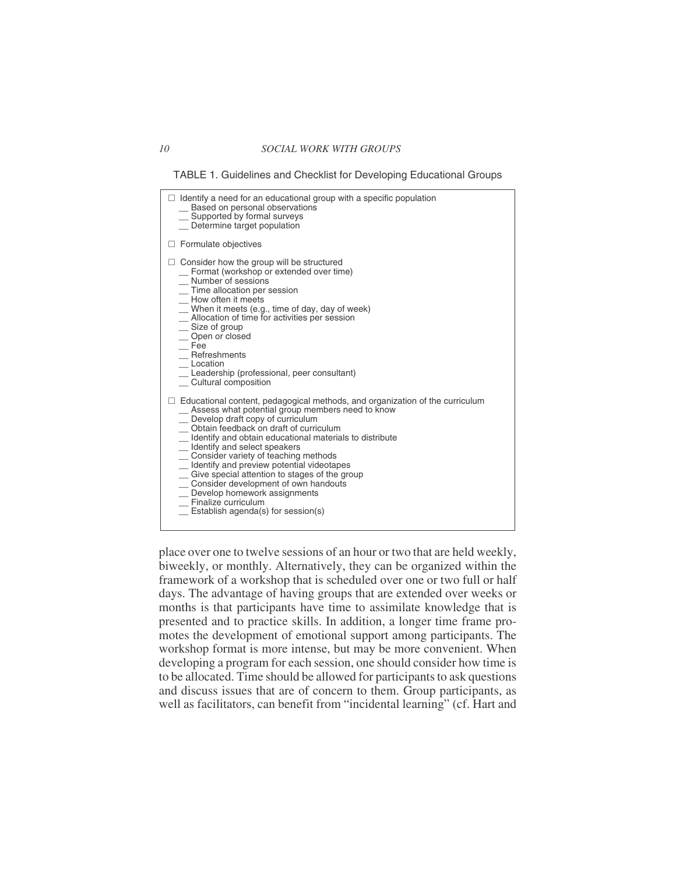TABLE 1. Guidelines and Checklist for Developing Educational Groups

| $\Box$ Identify a need for an educational group with a specific population<br>Based on personal observations<br>_ Supported by formal surveys<br>Determine target population                                                                                                                                                                                                                                                                                                                                                                                                                                             |
|--------------------------------------------------------------------------------------------------------------------------------------------------------------------------------------------------------------------------------------------------------------------------------------------------------------------------------------------------------------------------------------------------------------------------------------------------------------------------------------------------------------------------------------------------------------------------------------------------------------------------|
| $\Box$ Formulate objectives                                                                                                                                                                                                                                                                                                                                                                                                                                                                                                                                                                                              |
| Consider how the group will be structured<br>Format (workshop or extended over time)<br>_ Number of sessions<br>_ Time allocation per session<br>_ How often it meets<br>_ When it meets (e.g., time of day, day of week)<br>_ Allocation of time for activities per session<br>_ Size of group<br>__ Open or closed<br>__ Fee<br>_ Refreshments<br>_ Location<br>Leadership (professional, peer consultant)<br>Cultural composition                                                                                                                                                                                     |
| $\Box$ Educational content, pedagogical methods, and organization of the curriculum<br>_ Assess what potential group members need to know<br>Develop draft copy of curriculum<br>_ Obtain feedback on draft of curriculum<br>_ Identify and obtain educational materials to distribute<br>_ Identify and select speakers<br>_ Consider variety of teaching methods<br>_ Identify and preview potential videotapes<br>_ Give special attention to stages of the group<br>_ Consider development of own handouts<br>_ Develop homework assignments<br>_ Finalize curriculum<br>$\equiv$ Establish agenda(s) for session(s) |

place over one to twelve sessions of an hour or two that are held weekly, biweekly, or monthly. Alternatively, they can be organized within the framework of a workshop that is scheduled over one or two full or half days. The advantage of having groups that are extended over weeks or months is that participants have time to assimilate knowledge that is presented and to practice skills. In addition, a longer time frame promotes the development of emotional support among participants. The workshop format is more intense, but may be more convenient. When developing a program for each session, one should consider how time is to be allocated. Time should be allowed for participants to ask questions and discuss issues that are of concern to them. Group participants, as well as facilitators, can benefit from "incidental learning" (cf. Hart and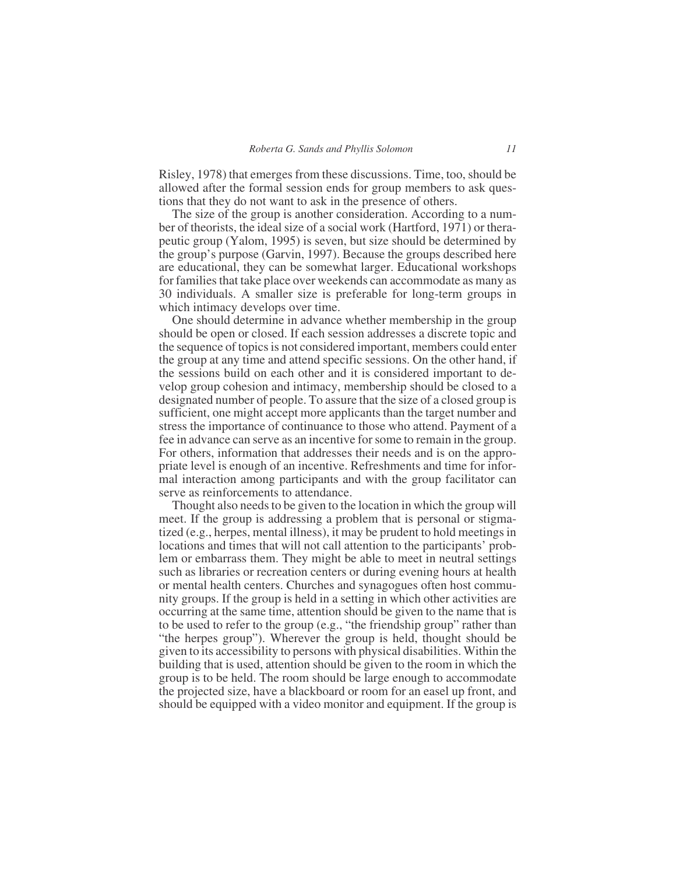Risley, 1978) that emerges from these discussions. Time, too, should be allowed after the formal session ends for group members to ask questions that they do not want to ask in the presence of others.

The size of the group is another consideration. According to a number of theorists, the ideal size of a social work (Hartford, 1971) or therapeutic group (Yalom, 1995) is seven, but size should be determined by the group's purpose (Garvin, 1997). Because the groups described here are educational, they can be somewhat larger. Educational workshops for families that take place over weekends can accommodate as many as 30 individuals. A smaller size is preferable for long-term groups in which intimacy develops over time.

One should determine in advance whether membership in the group should be open or closed. If each session addresses a discrete topic and the sequence of topics is not considered important, members could enter the group at any time and attend specific sessions. On the other hand, if the sessions build on each other and it is considered important to develop group cohesion and intimacy, membership should be closed to a designated number of people. To assure that the size of a closed group is sufficient, one might accept more applicants than the target number and stress the importance of continuance to those who attend. Payment of a fee in advance can serve as an incentive for some to remain in the group. For others, information that addresses their needs and is on the appropriate level is enough of an incentive. Refreshments and time for informal interaction among participants and with the group facilitator can serve as reinforcements to attendance.

Thought also needs to be given to the location in which the group will meet. If the group is addressing a problem that is personal or stigmatized (e.g., herpes, mental illness), it may be prudent to hold meetings in locations and times that will not call attention to the participants' problem or embarrass them. They might be able to meet in neutral settings such as libraries or recreation centers or during evening hours at health or mental health centers. Churches and synagogues often host community groups. If the group is held in a setting in which other activities are occurring at the same time, attention should be given to the name that is to be used to refer to the group (e.g., "the friendship group" rather than "the herpes group"). Wherever the group is held, thought should be given to its accessibility to persons with physical disabilities. Within the building that is used, attention should be given to the room in which the group is to be held. The room should be large enough to accommodate the projected size, have a blackboard or room for an easel up front, and should be equipped with a video monitor and equipment. If the group is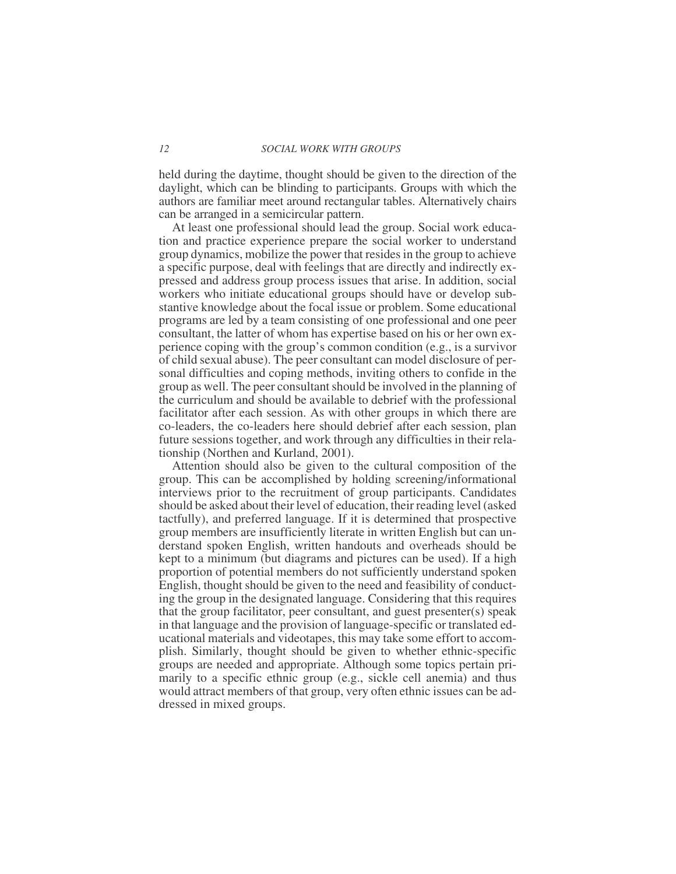held during the daytime, thought should be given to the direction of the daylight, which can be blinding to participants. Groups with which the authors are familiar meet around rectangular tables. Alternatively chairs can be arranged in a semicircular pattern.

At least one professional should lead the group. Social work education and practice experience prepare the social worker to understand group dynamics, mobilize the power that resides in the group to achieve a specific purpose, deal with feelings that are directly and indirectly expressed and address group process issues that arise. In addition, social workers who initiate educational groups should have or develop substantive knowledge about the focal issue or problem. Some educational programs are led by a team consisting of one professional and one peer consultant, the latter of whom has expertise based on his or her own experience coping with the group's common condition (e.g., is a survivor of child sexual abuse). The peer consultant can model disclosure of personal difficulties and coping methods, inviting others to confide in the group as well. The peer consultant should be involved in the planning of the curriculum and should be available to debrief with the professional facilitator after each session. As with other groups in which there are co-leaders, the co-leaders here should debrief after each session, plan future sessions together, and work through any difficulties in their relationship (Northen and Kurland, 2001).

Attention should also be given to the cultural composition of the group. This can be accomplished by holding screening/informational interviews prior to the recruitment of group participants. Candidates should be asked about their level of education, their reading level (asked tactfully), and preferred language. If it is determined that prospective group members are insufficiently literate in written English but can understand spoken English, written handouts and overheads should be kept to a minimum (but diagrams and pictures can be used). If a high proportion of potential members do not sufficiently understand spoken English, thought should be given to the need and feasibility of conducting the group in the designated language. Considering that this requires that the group facilitator, peer consultant, and guest presenter(s) speak in that language and the provision of language-specific or translated educational materials and videotapes, this may take some effort to accomplish. Similarly, thought should be given to whether ethnic-specific groups are needed and appropriate. Although some topics pertain primarily to a specific ethnic group (e.g., sickle cell anemia) and thus would attract members of that group, very often ethnic issues can be addressed in mixed groups.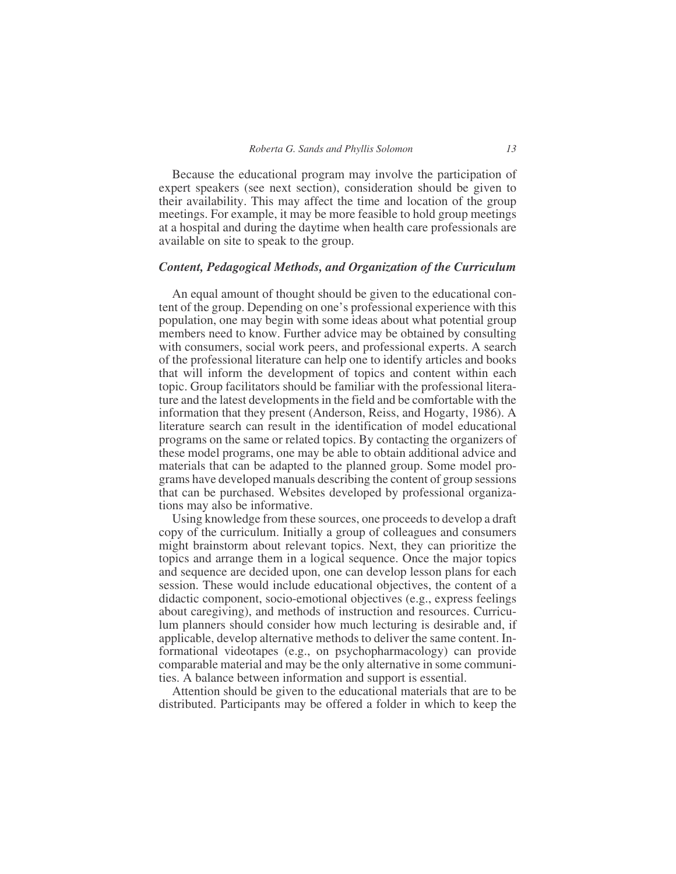Because the educational program may involve the participation of expert speakers (see next section), consideration should be given to their availability. This may affect the time and location of the group meetings. For example, it may be more feasible to hold group meetings at a hospital and during the daytime when health care professionals are available on site to speak to the group.

#### *Content, Pedagogical Methods, and Organization of the Curriculum*

An equal amount of thought should be given to the educational content of the group. Depending on one's professional experience with this population, one may begin with some ideas about what potential group members need to know. Further advice may be obtained by consulting with consumers, social work peers, and professional experts. A search of the professional literature can help one to identify articles and books that will inform the development of topics and content within each topic. Group facilitators should be familiar with the professional literature and the latest developments in the field and be comfortable with the information that they present (Anderson, Reiss, and Hogarty, 1986). A literature search can result in the identification of model educational programs on the same or related topics. By contacting the organizers of these model programs, one may be able to obtain additional advice and materials that can be adapted to the planned group. Some model programs have developed manuals describing the content of group sessions that can be purchased. Websites developed by professional organizations may also be informative.

Using knowledge from these sources, one proceeds to develop a draft copy of the curriculum. Initially a group of colleagues and consumers might brainstorm about relevant topics. Next, they can prioritize the topics and arrange them in a logical sequence. Once the major topics and sequence are decided upon, one can develop lesson plans for each session. These would include educational objectives, the content of a didactic component, socio-emotional objectives (e.g., express feelings about caregiving), and methods of instruction and resources. Curriculum planners should consider how much lecturing is desirable and, if applicable, develop alternative methods to deliver the same content. Informational videotapes (e.g., on psychopharmacology) can provide comparable material and may be the only alternative in some communities. A balance between information and support is essential.

Attention should be given to the educational materials that are to be distributed. Participants may be offered a folder in which to keep the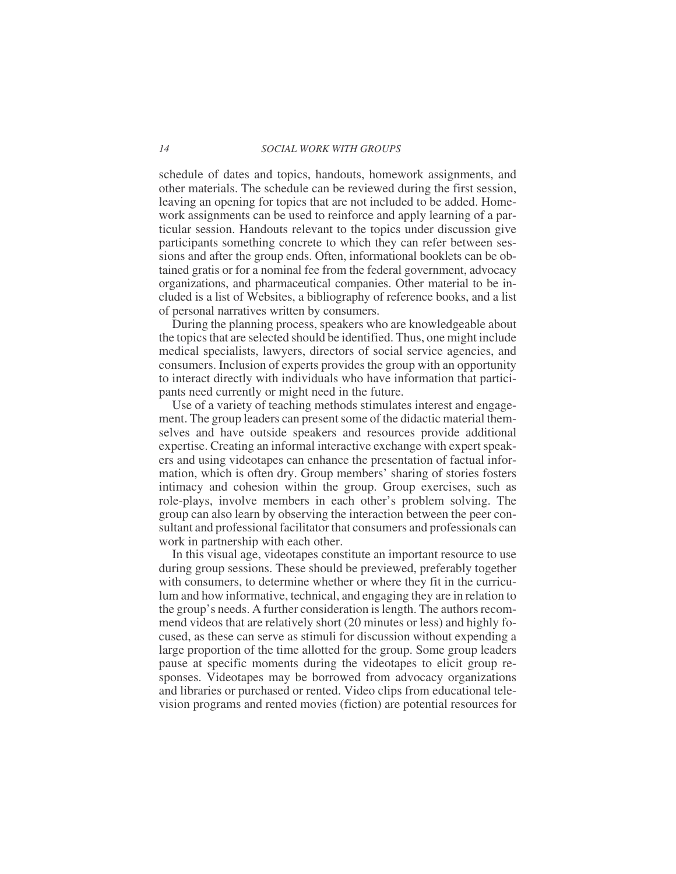#### *14 SOCIAL WORK WITH GROUPS*

schedule of dates and topics, handouts, homework assignments, and other materials. The schedule can be reviewed during the first session, leaving an opening for topics that are not included to be added. Homework assignments can be used to reinforce and apply learning of a particular session. Handouts relevant to the topics under discussion give participants something concrete to which they can refer between sessions and after the group ends. Often, informational booklets can be obtained gratis or for a nominal fee from the federal government, advocacy organizations, and pharmaceutical companies. Other material to be included is a list of Websites, a bibliography of reference books, and a list of personal narratives written by consumers.

During the planning process, speakers who are knowledgeable about the topics that are selected should be identified. Thus, one might include medical specialists, lawyers, directors of social service agencies, and consumers. Inclusion of experts provides the group with an opportunity to interact directly with individuals who have information that participants need currently or might need in the future.

Use of a variety of teaching methods stimulates interest and engagement. The group leaders can present some of the didactic material themselves and have outside speakers and resources provide additional expertise. Creating an informal interactive exchange with expert speakers and using videotapes can enhance the presentation of factual information, which is often dry. Group members' sharing of stories fosters intimacy and cohesion within the group. Group exercises, such as role-plays, involve members in each other's problem solving. The group can also learn by observing the interaction between the peer consultant and professional facilitator that consumers and professionals can work in partnership with each other.

In this visual age, videotapes constitute an important resource to use during group sessions. These should be previewed, preferably together with consumers, to determine whether or where they fit in the curriculum and how informative, technical, and engaging they are in relation to the group's needs. A further consideration is length. The authors recommend videos that are relatively short (20 minutes or less) and highly focused, as these can serve as stimuli for discussion without expending a large proportion of the time allotted for the group. Some group leaders pause at specific moments during the videotapes to elicit group responses. Videotapes may be borrowed from advocacy organizations and libraries or purchased or rented. Video clips from educational television programs and rented movies (fiction) are potential resources for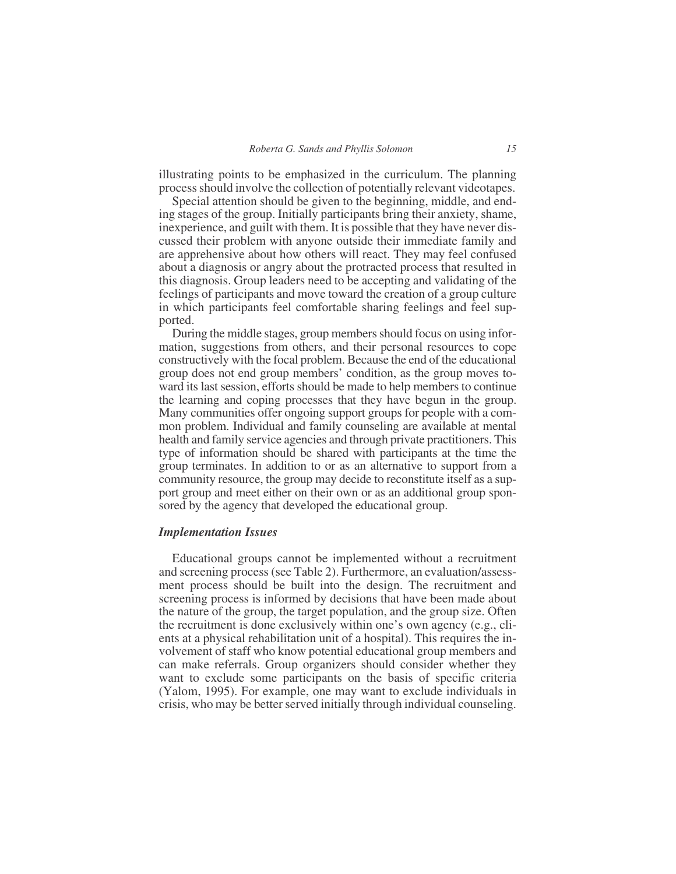illustrating points to be emphasized in the curriculum. The planning process should involve the collection of potentially relevant videotapes.

Special attention should be given to the beginning, middle, and ending stages of the group. Initially participants bring their anxiety, shame, inexperience, and guilt with them. It is possible that they have never discussed their problem with anyone outside their immediate family and are apprehensive about how others will react. They may feel confused about a diagnosis or angry about the protracted process that resulted in this diagnosis. Group leaders need to be accepting and validating of the feelings of participants and move toward the creation of a group culture in which participants feel comfortable sharing feelings and feel supported.

During the middle stages, group members should focus on using information, suggestions from others, and their personal resources to cope constructively with the focal problem. Because the end of the educational group does not end group members' condition, as the group moves toward its last session, efforts should be made to help members to continue the learning and coping processes that they have begun in the group. Many communities offer ongoing support groups for people with a common problem. Individual and family counseling are available at mental health and family service agencies and through private practitioners. This type of information should be shared with participants at the time the group terminates. In addition to or as an alternative to support from a community resource, the group may decide to reconstitute itself as a support group and meet either on their own or as an additional group sponsored by the agency that developed the educational group.

#### *Implementation Issues*

Educational groups cannot be implemented without a recruitment and screening process (see Table 2). Furthermore, an evaluation/assessment process should be built into the design. The recruitment and screening process is informed by decisions that have been made about the nature of the group, the target population, and the group size. Often the recruitment is done exclusively within one's own agency (e.g., clients at a physical rehabilitation unit of a hospital). This requires the involvement of staff who know potential educational group members and can make referrals. Group organizers should consider whether they want to exclude some participants on the basis of specific criteria (Yalom, 1995). For example, one may want to exclude individuals in crisis, who may be better served initially through individual counseling.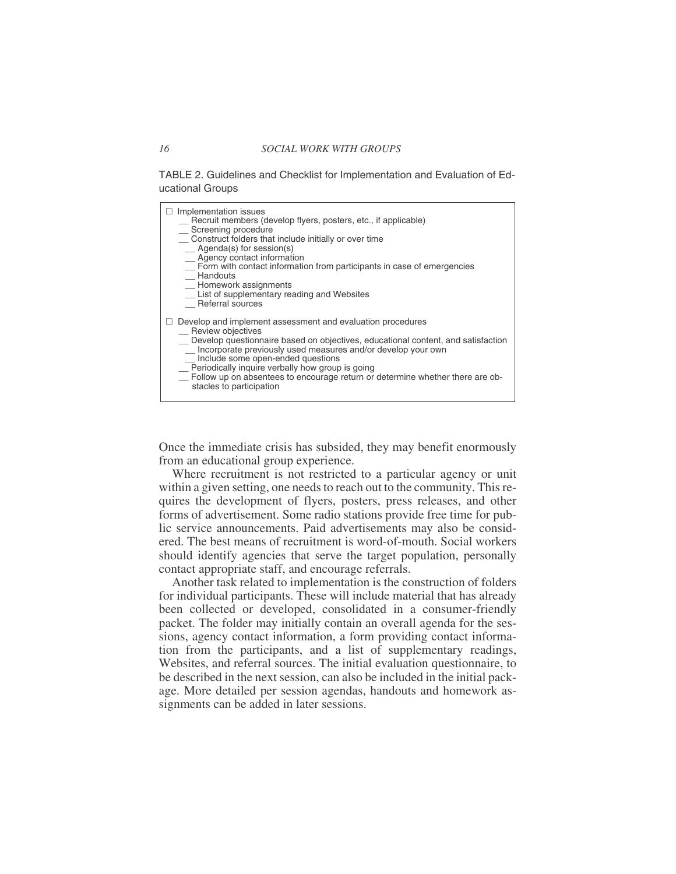#### TABLE 2. Guidelines and Checklist for Implementation and Evaluation of Educational Groups

| Implementation issues<br>Recruit members (develop flyers, posters, etc., if applicable)<br>Screening procedure<br>Construct folders that include initially or over time<br>$\equiv$ Agenda(s) for session(s)<br>_ Agency contact information<br>Form with contact information from participants in case of emergencies<br>Handouts<br>- Homework assignments<br>List of supplementary reading and Websites<br><b>Referral sources</b>            |
|--------------------------------------------------------------------------------------------------------------------------------------------------------------------------------------------------------------------------------------------------------------------------------------------------------------------------------------------------------------------------------------------------------------------------------------------------|
| Develop and implement assessment and evaluation procedures<br><b>Review objectives</b><br>Develop questionnaire based on objectives, educational content, and satisfaction<br>Incorporate previously used measures and/or develop your own<br>Include some open-ended questions<br>Periodically inquire verbally how group is going<br>Follow up on absentees to encourage return or determine whether there are ob-<br>stacles to participation |

Once the immediate crisis has subsided, they may benefit enormously from an educational group experience.

Where recruitment is not restricted to a particular agency or unit within a given setting, one needs to reach out to the community. This requires the development of flyers, posters, press releases, and other forms of advertisement. Some radio stations provide free time for public service announcements. Paid advertisements may also be considered. The best means of recruitment is word-of-mouth. Social workers should identify agencies that serve the target population, personally contact appropriate staff, and encourage referrals.

Another task related to implementation is the construction of folders for individual participants. These will include material that has already been collected or developed, consolidated in a consumer-friendly packet. The folder may initially contain an overall agenda for the sessions, agency contact information, a form providing contact information from the participants, and a list of supplementary readings, Websites, and referral sources. The initial evaluation questionnaire, to be described in the next session, can also be included in the initial package. More detailed per session agendas, handouts and homework assignments can be added in later sessions.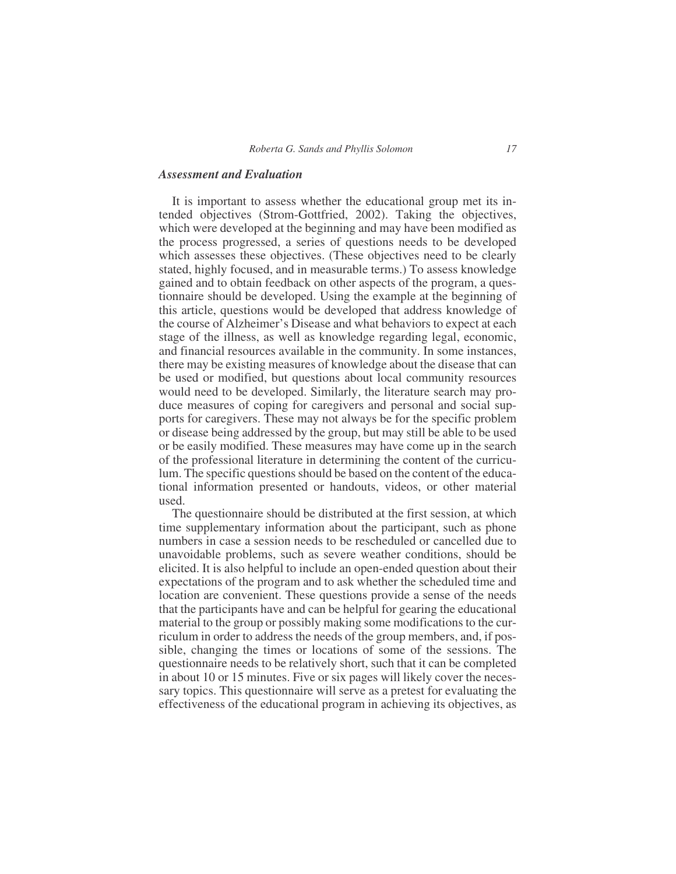#### *Assessment and Evaluation*

It is important to assess whether the educational group met its intended objectives (Strom-Gottfried, 2002). Taking the objectives, which were developed at the beginning and may have been modified as the process progressed, a series of questions needs to be developed which assesses these objectives. (These objectives need to be clearly stated, highly focused, and in measurable terms.) To assess knowledge gained and to obtain feedback on other aspects of the program, a questionnaire should be developed. Using the example at the beginning of this article, questions would be developed that address knowledge of the course of Alzheimer's Disease and what behaviors to expect at each stage of the illness, as well as knowledge regarding legal, economic, and financial resources available in the community. In some instances, there may be existing measures of knowledge about the disease that can be used or modified, but questions about local community resources would need to be developed. Similarly, the literature search may produce measures of coping for caregivers and personal and social supports for caregivers. These may not always be for the specific problem or disease being addressed by the group, but may still be able to be used or be easily modified. These measures may have come up in the search of the professional literature in determining the content of the curriculum. The specific questions should be based on the content of the educational information presented or handouts, videos, or other material used.

The questionnaire should be distributed at the first session, at which time supplementary information about the participant, such as phone numbers in case a session needs to be rescheduled or cancelled due to unavoidable problems, such as severe weather conditions, should be elicited. It is also helpful to include an open-ended question about their expectations of the program and to ask whether the scheduled time and location are convenient. These questions provide a sense of the needs that the participants have and can be helpful for gearing the educational material to the group or possibly making some modifications to the curriculum in order to address the needs of the group members, and, if possible, changing the times or locations of some of the sessions. The questionnaire needs to be relatively short, such that it can be completed in about 10 or 15 minutes. Five or six pages will likely cover the necessary topics. This questionnaire will serve as a pretest for evaluating the effectiveness of the educational program in achieving its objectives, as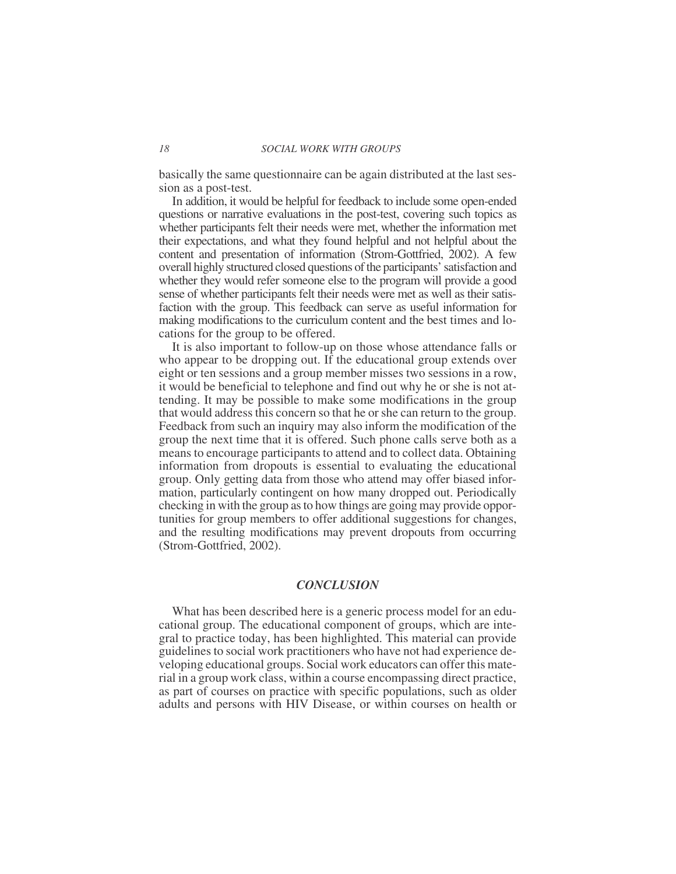basically the same questionnaire can be again distributed at the last session as a post-test.

In addition, it would be helpful for feedback to include some open-ended questions or narrative evaluations in the post-test, covering such topics as whether participants felt their needs were met, whether the information met their expectations, and what they found helpful and not helpful about the content and presentation of information (Strom-Gottfried, 2002). A few overall highly structured closed questions of the participants' satisfaction and whether they would refer someone else to the program will provide a good sense of whether participants felt their needs were met as well as their satisfaction with the group. This feedback can serve as useful information for making modifications to the curriculum content and the best times and locations for the group to be offered.

It is also important to follow-up on those whose attendance falls or who appear to be dropping out. If the educational group extends over eight or ten sessions and a group member misses two sessions in a row, it would be beneficial to telephone and find out why he or she is not attending. It may be possible to make some modifications in the group that would address this concern so that he or she can return to the group. Feedback from such an inquiry may also inform the modification of the group the next time that it is offered. Such phone calls serve both as a means to encourage participants to attend and to collect data. Obtaining information from dropouts is essential to evaluating the educational group. Only getting data from those who attend may offer biased information, particularly contingent on how many dropped out. Periodically checking in with the group as to how things are going may provide opportunities for group members to offer additional suggestions for changes, and the resulting modifications may prevent dropouts from occurring (Strom-Gottfried, 2002).

#### *CONCLUSION*

What has been described here is a generic process model for an educational group. The educational component of groups, which are integral to practice today, has been highlighted. This material can provide guidelines to social work practitioners who have not had experience developing educational groups. Social work educators can offer this material in a group work class, within a course encompassing direct practice, as part of courses on practice with specific populations, such as older adults and persons with HIV Disease, or within courses on health or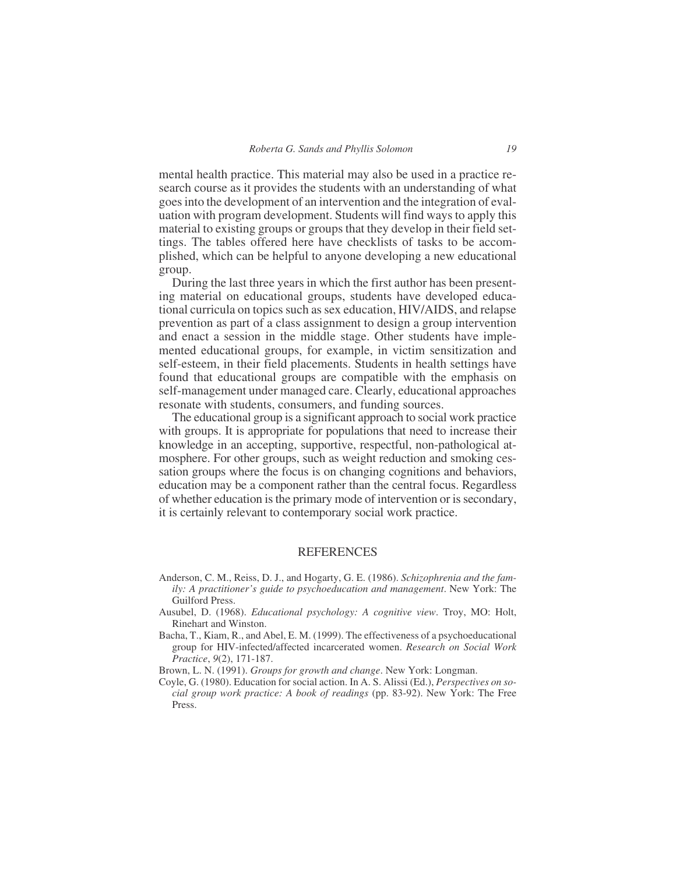mental health practice. This material may also be used in a practice research course as it provides the students with an understanding of what goes into the development of an intervention and the integration of evaluation with program development. Students will find ways to apply this material to existing groups or groups that they develop in their field settings. The tables offered here have checklists of tasks to be accomplished, which can be helpful to anyone developing a new educational group.

During the last three years in which the first author has been presenting material on educational groups, students have developed educational curricula on topics such as sex education, HIV/AIDS, and relapse prevention as part of a class assignment to design a group intervention and enact a session in the middle stage. Other students have implemented educational groups, for example, in victim sensitization and self-esteem, in their field placements. Students in health settings have found that educational groups are compatible with the emphasis on self-management under managed care. Clearly, educational approaches resonate with students, consumers, and funding sources.

The educational group is a significant approach to social work practice with groups. It is appropriate for populations that need to increase their knowledge in an accepting, supportive, respectful, non-pathological atmosphere. For other groups, such as weight reduction and smoking cessation groups where the focus is on changing cognitions and behaviors, education may be a component rather than the central focus. Regardless of whether education is the primary mode of intervention or is secondary, it is certainly relevant to contemporary social work practice.

#### REFERENCES

- Anderson, C. M., Reiss, D. J., and Hogarty, G. E. (1986). *Schizophrenia and the family: A practitioner's guide to psychoeducation and management*. New York: The Guilford Press.
- Ausubel, D. (1968). *Educational psychology: A cognitive view*. Troy, MO: Holt, Rinehart and Winston.
- Bacha, T., Kiam, R., and Abel, E. M. (1999). The effectiveness of a psychoeducational group for HIV-infected/affected incarcerated women. *Research on Social Work Practice*, *9*(2), 171-187.

Brown, L. N. (1991). *Groups for growth and change*. New York: Longman.

Coyle, G. (1980). Education for social action. In A. S. Alissi (Ed.), *Perspectives on social group work practice: A book of readings* (pp. 83-92). New York: The Free Press.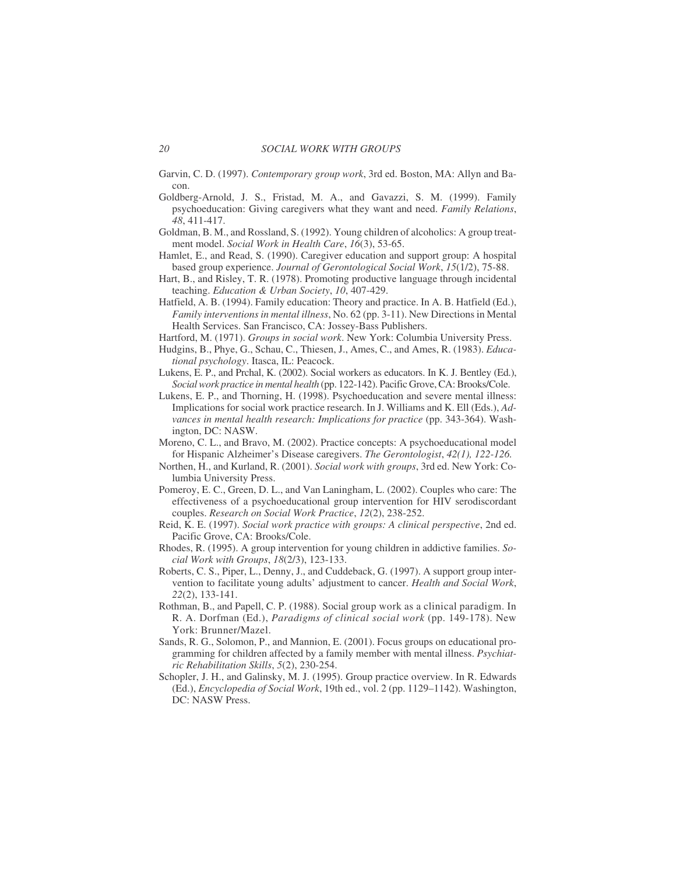- Garvin, C. D. (1997). *Contemporary group work*, 3rd ed. Boston, MA: Allyn and Bacon.
- Goldberg-Arnold, J. S., Fristad, M. A., and Gavazzi, S. M. (1999). Family psychoeducation: Giving caregivers what they want and need. *Family Relations*, *48*, 411-417.
- Goldman, B. M., and Rossland, S. (1992). Young children of alcoholics: A group treatment model. *Social Work in Health Care*, *16*(3), 53-65.
- Hamlet, E., and Read, S. (1990). Caregiver education and support group: A hospital based group experience. *Journal of Gerontological Social Work*, *15*(1/2), 75-88.
- Hart, B., and Risley, T. R. (1978). Promoting productive language through incidental teaching. *Education & Urban Society*, *10*, 407-429.
- Hatfield, A. B. (1994). Family education: Theory and practice. In A. B. Hatfield (Ed.), *Family interventions in mental illness*, No. 62 (pp. 3-11). New Directions in Mental Health Services. San Francisco, CA: Jossey-Bass Publishers.
- Hartford, M. (1971). *Groups in social work*. New York: Columbia University Press.
- Hudgins, B., Phye, G., Schau, C., Thiesen, J., Ames, C., and Ames, R. (1983). *Educational psychology*. Itasca, IL: Peacock.
- Lukens, E. P., and Prchal, K. (2002). Social workers as educators. In K. J. Bentley (Ed.), *Social work practice in mental health* (pp. 122-142). Pacific Grove, CA: Brooks/Cole.
- Lukens, E. P., and Thorning, H. (1998). Psychoeducation and severe mental illness: Implications for social work practice research. In J. Williams and K. Ell (Eds.), *Advances in mental health research: Implications for practice* (pp. 343-364). Washington, DC: NASW.
- Moreno, C. L., and Bravo, M. (2002). Practice concepts: A psychoeducational model for Hispanic Alzheimer's Disease caregivers. *The Gerontologist*, *42(1), 122-126.*
- Northen, H., and Kurland, R. (2001). *Social work with groups*, 3rd ed. New York: Columbia University Press.
- Pomeroy, E. C., Green, D. L., and Van Laningham, L. (2002). Couples who care: The effectiveness of a psychoeducational group intervention for HIV serodiscordant couples. *Research on Social Work Practice*, *12*(2), 238-252.
- Reid, K. E. (1997). *Social work practice with groups: A clinical perspective*, 2nd ed. Pacific Grove, CA: Brooks/Cole.
- Rhodes, R. (1995). A group intervention for young children in addictive families. *Social Work with Groups*, *18*(2/3), 123-133.
- Roberts, C. S., Piper, L., Denny, J., and Cuddeback, G. (1997). A support group intervention to facilitate young adults' adjustment to cancer. *Health and Social Work*, *22*(2), 133-141.
- Rothman, B., and Papell, C. P. (1988). Social group work as a clinical paradigm. In R. A. Dorfman (Ed.), *Paradigms of clinical social work* (pp. 149-178). New York: Brunner/Mazel.
- Sands, R. G., Solomon, P., and Mannion, E. (2001). Focus groups on educational programming for children affected by a family member with mental illness. *Psychiatric Rehabilitation Skills*, *5*(2), 230-254.
- Schopler, J. H., and Galinsky, M. J. (1995). Group practice overview. In R. Edwards (Ed.), *Encyclopedia of Social Work*, 19th ed., vol. 2 (pp. 1129–1142). Washington, DC: NASW Press.